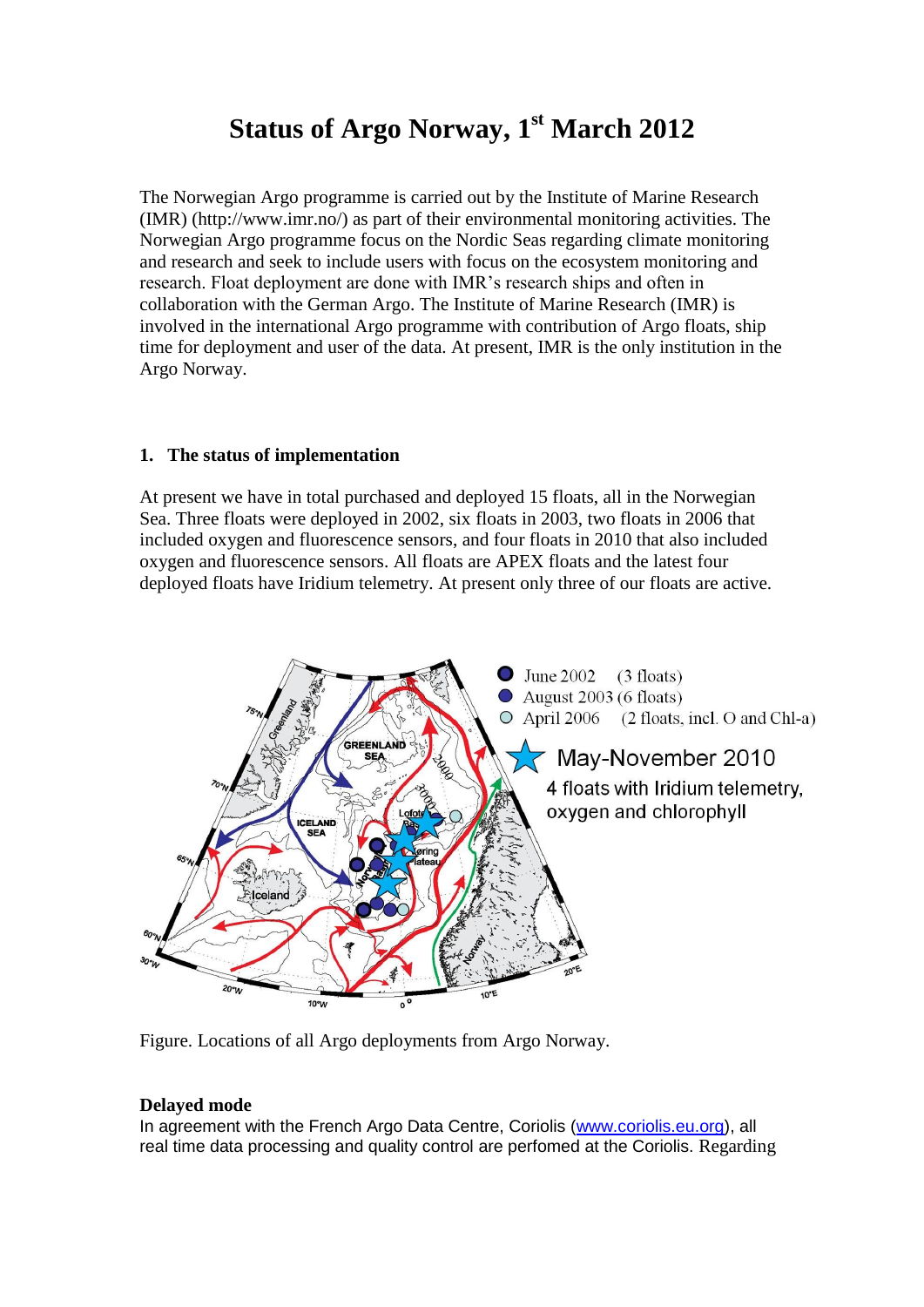# **Status of Argo Norway, 1 st March 2012**

The Norwegian Argo programme is carried out by the Institute of Marine Research (IMR) [\(http://www.imr.no/\)](http://www.imr.no/) as part of their environmental monitoring activities. The Norwegian Argo programme focus on the Nordic Seas regarding climate monitoring and research and seek to include users with focus on the ecosystem monitoring and research. Float deployment are done with IMR's research ships and often in collaboration with the German Argo. The Institute of Marine Research (IMR) is involved in the international Argo programme with contribution of Argo floats, ship time for deployment and user of the data. At present, IMR is the only institution in the Argo Norway.

#### **1. The status of implementation**

At present we have in total purchased and deployed 15 floats, all in the Norwegian Sea. Three floats were deployed in 2002, six floats in 2003, two floats in 2006 that included oxygen and fluorescence sensors, and four floats in 2010 that also included oxygen and fluorescence sensors. All floats are APEX floats and the latest four deployed floats have Iridium telemetry. At present only three of our floats are active.





#### **Delayed mode**

In agreement with the French Argo Data Centre, Coriolis [\(www.coriolis.eu.org\)](http://www.coriolis.eu.org/), all real time data processing and quality control are perfomed at the Coriolis. Regarding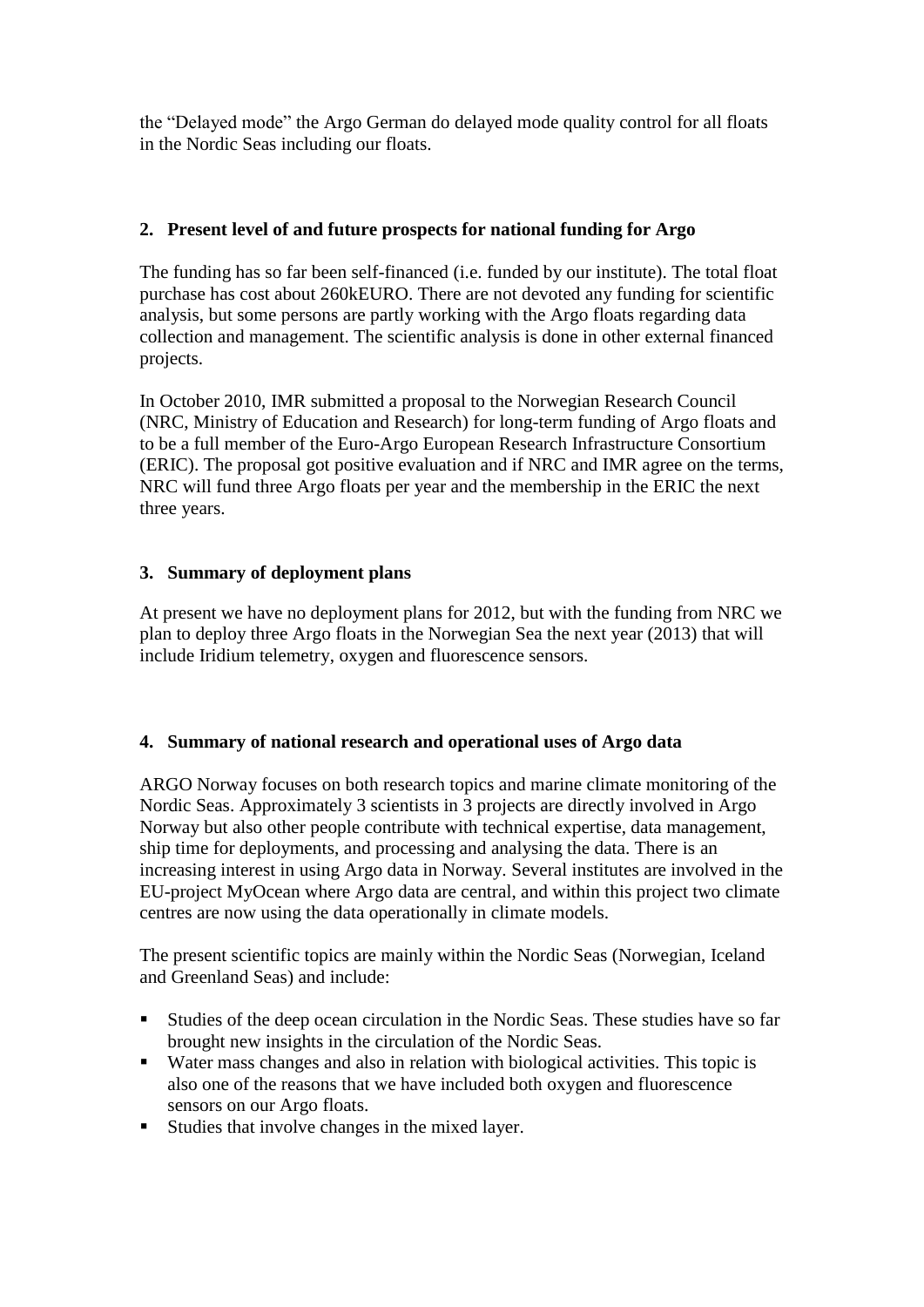the "Delayed mode" the Argo German do delayed mode quality control for all floats in the Nordic Seas including our floats.

## **2. Present level of and future prospects for national funding for Argo**

The funding has so far been self-financed (i.e. funded by our institute). The total float purchase has cost about 260kEURO. There are not devoted any funding for scientific analysis, but some persons are partly working with the Argo floats regarding data collection and management. The scientific analysis is done in other external financed projects.

In October 2010, IMR submitted a proposal to the Norwegian Research Council (NRC, Ministry of Education and Research) for long-term funding of Argo floats and to be a full member of the Euro-Argo European Research Infrastructure Consortium (ERIC). The proposal got positive evaluation and if NRC and IMR agree on the terms, NRC will fund three Argo floats per year and the membership in the ERIC the next three years.

### **3. Summary of deployment plans**

At present we have no deployment plans for 2012, but with the funding from NRC we plan to deploy three Argo floats in the Norwegian Sea the next year (2013) that will include Iridium telemetry, oxygen and fluorescence sensors.

#### **4. Summary of national research and operational uses of Argo data**

ARGO Norway focuses on both research topics and marine climate monitoring of the Nordic Seas. Approximately 3 scientists in 3 projects are directly involved in Argo Norway but also other people contribute with technical expertise, data management, ship time for deployments, and processing and analysing the data. There is an increasing interest in using Argo data in Norway. Several institutes are involved in the EU-project MyOcean where Argo data are central, and within this project two climate centres are now using the data operationally in climate models.

The present scientific topics are mainly within the Nordic Seas (Norwegian, Iceland and Greenland Seas) and include:

- Studies of the deep ocean circulation in the Nordic Seas. These studies have so far brought new insights in the circulation of the Nordic Seas.
- Water mass changes and also in relation with biological activities. This topic is also one of the reasons that we have included both oxygen and fluorescence sensors on our Argo floats.
- Studies that involve changes in the mixed layer.